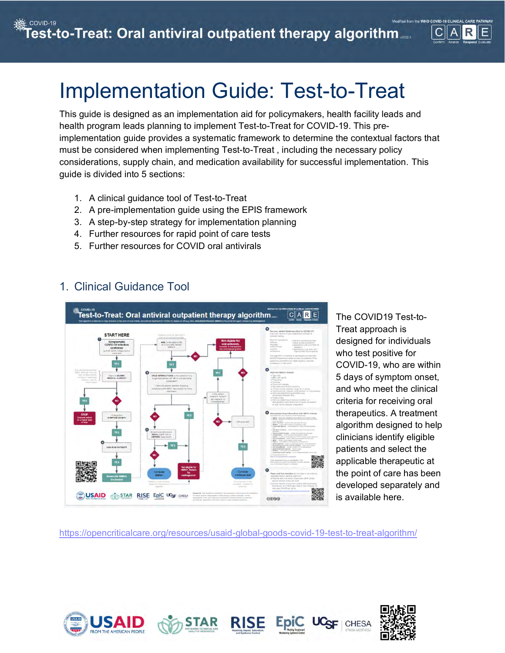# Implementation Guide: Test-to-Treat

This guide is designed as an implementation aid for policymakers, health facility leads and health program leads planning to implement Test-to-Treat for COVID-19. This preimplementation guide provides a systematic framework to determine the contextual factors that must be considered when implementing Test-to-Treat , including the necessary policy considerations, supply chain, and medication availability for successful implementation. This guide is divided into 5 sections:

- 1. A clinical guidance tool of Test-to-Treat
- 2. A pre-implementation guide using the EPIS framework
- 3. A step-by-step strategy for implementation planning
- 4. Further resources for rapid point of care tests
- 5. Further resources for COVID oral antivirals

## 1. Clinical Guidance Tool



The COVID19 Test-to-Treat approach is designed for individuals who test positive for COVID-19, who are within 5 days of symptom onset, and who meet the clinical criteria for receiving oral therapeutics. A treatment algorithm designed to help clinicians identify eligible patients and select the applicable therapeutic at the point of care has been developed separately and is available [here.](https://opencriticalcare.org/resources/usaid-global-goods-covid-19-test-to-treat-algorithm/)

<https://opencriticalcare.org/resources/usaid-global-goods-covid-19-test-to-treat-algorithm/>







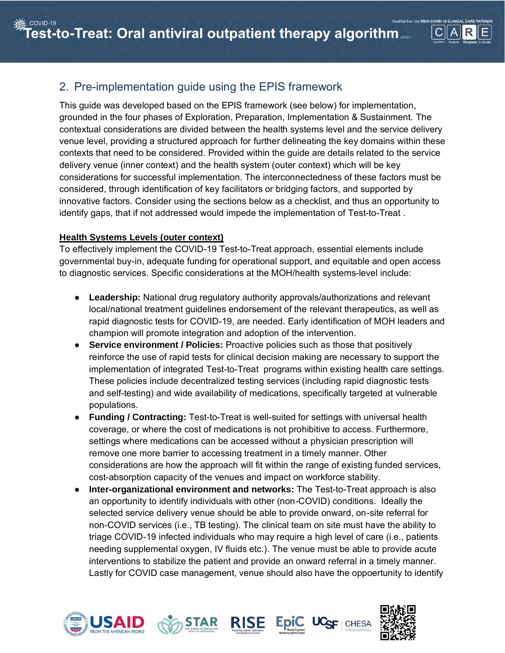## 2. Pre-implementation guide using the EPIS framework

This guide was developed based on the EPIS framework (see below) for implementation, grounded in the four phases of Exploration, Preparation, Implementation & Sustainment. The contextual considerations are divided between the health systems level and the service delivery venue level, providing a structured approach for further delineating the key domains within these contexts that need to be considered. Provided within the guide are details related to the service delivery venue (inner context) and the health system (outer context) which will be key considerations for successful implementation. The interconnectedness of these factors must be considered, through identification of key facilitators or bridging factors, and supported by innovative factors. Consider using the sections below as a checklist, and thus an opportunity to identify gaps, that if not addressed would impede the implementation of Test-to-Treat .

### **Health Systems Levels (outer context)**

To effectively implement the COVID-19 Test-to-Treat approach, essential elements include governmental buy-in, adequate funding for operational support, and equitable and open access to diagnostic services. Specific considerations at the MOH/health systems-level include:

- **Leadership:** National drug regulatory authority approvals/authorizations and relevant local/national treatment guidelines endorsement of the relevant therapeutics, as well as rapid diagnostic tests for COVID-19, are needed. Early identification of MOH leaders and champion will promote integration and adoption of the intervention.
- **Service environment / Policies:** Proactive policies such as those that positively reinforce the use of rapid tests for clinical decision making are necessary to support the implementation of integrated Test-to-Treat programs within existing health care settings. These policies include decentralized testing services (including rapid diagnostic tests and self-testing) and wide availability of medications, specifically targeted at vulnerable populations.
- **Funding / Contracting:** Test-to-Treat is well-suited for settings with universal health coverage, or where the cost of medications is not prohibitive to access. Furthermore, settings where medications can be accessed without a physician prescription will remove one more barrier to accessing treatment in a timely manner. Other considerations are how the approach will fit within the range of existing funded services, cost-absorption capacity of the venues and impact on workforce stability.
- **Inter-organizational environment and networks:** The Test-to-Treat approach is also an opportunity to identify individuals with other (non-COVID) conditions. Ideally the selected service delivery venue should be able to provide onward, on-site referral for non-COVID services (i.e., TB testing). The clinical team on site must have the ability to triage COVID-19 infected individuals who may require a high level of care (i.e., patients needing supplemental oxygen, IV fluids etc.). The venue must be able to provide acute interventions to stabilize the patient and provide an onward referral in a timely manner. Lastly for COVID case management, venue should also have the oppoertunity to identify







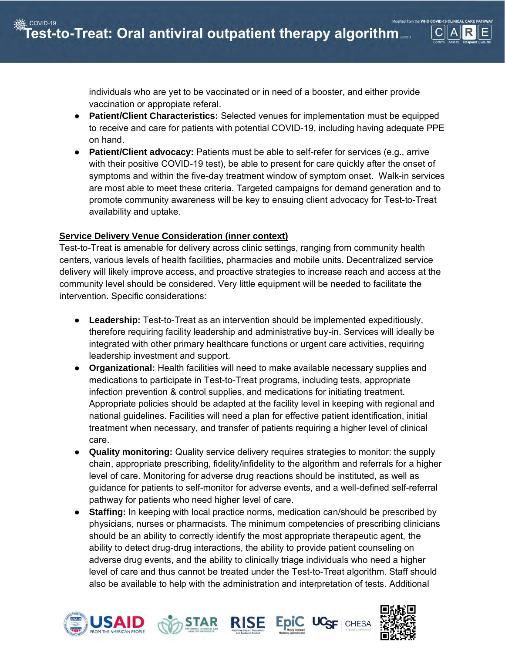

individuals who are yet to be vaccinated or in need of a booster, and either provide vaccination or appropiate referal.

- **Patient/Client Characteristics:** Selected venues for implementation must be equipped to receive and care for patients with potential COVID-19, including having adequate PPE on hand.
- **Patient/Client advocacy:** Patients must be able to self-refer for services (e.g., arrive with their positive COVID-19 test), be able to present for care quickly after the onset of symptoms and within the five-day treatment window of symptom onset. Walk-in services are most able to meet these criteria. Targeted campaigns for demand generation and to promote community awareness will be key to ensuing client advocacy for Test-to-Treat availability and uptake.

#### **Service Delivery Venue Consideration (inner context)**

Test-to-Treat is amenable for delivery across clinic settings, ranging from community health centers, various levels of health facilities, pharmacies and mobile units. Decentralized service delivery will likely improve access, and proactive strategies to increase reach and access at the community level should be considered. Very little equipment will be needed to facilitate the intervention. Specific considerations:

- **Leadership:** Test-to-Treat as an intervention should be implemented expeditiously, therefore requiring facility leadership and administrative buy-in. Services will ideally be integrated with other primary healthcare functions or urgent care activities, requiring leadership investment and support.
- **Organizational:** Health facilities will need to make available necessary supplies and medications to participate in Test-to-Treat programs, including tests, appropriate infection prevention & control supplies, and medications for initiating treatment. Appropriate policies should be adapted at the facility level in keeping with regional and national guidelines. Facilities will need a plan for effective patient identification, initial treatment when necessary, and transfer of patients requiring a higher level of clinical care.
- **Quality monitoring:** Quality service delivery requires strategies to monitor: the supply chain, appropriate prescribing, fidelity/infidelity to the algorithm and referrals for a higher level of care. Monitoring for adverse drug reactions should be instituted, as well as guidance for patients to self-monitor for adverse events, and a well-defined self-referral pathway for patients who need higher level of care.
- **Staffing:** In keeping with local practice norms, medication can/should be prescribed by physicians, nurses or pharmacists. The minimum competencies of prescribing clinicians should be an ability to correctly identify the most appropriate therapeutic agent, the ability to detect drug-drug interactions, the ability to provide patient counseling on adverse drug events, and the ability to clinically triage individuals who need a higher level of care and thus cannot be treated under the Test-to-Treat algorithm. Staff should also be available to help with the administration and interpretation of tests. Additional







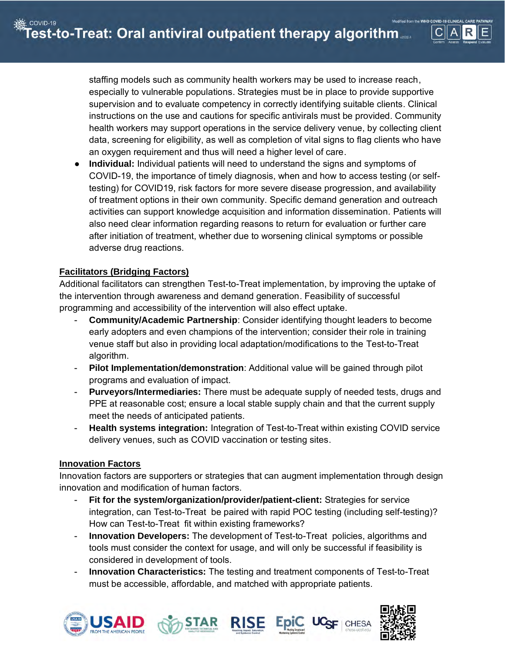staffing models such as community health workers may be used to increase reach, especially to vulnerable populations. Strategies must be in place to provide supportive supervision and to evaluate competency in correctly identifying suitable clients. Clinical instructions on the use and cautions for specific antivirals must be provided. Community health workers may support operations in the service delivery venue, by collecting client data, screening for eligibility, as well as completion of vital signs to flag clients who have an oxygen requirement and thus will need a higher level of care.

**Individual:** Individual patients will need to understand the signs and symptoms of COVID-19, the importance of timely diagnosis, when and how to access testing (or selftesting) for COVID19, risk factors for more severe disease progression, and availability of treatment options in their own community. Specific demand generation and outreach activities can support knowledge acquisition and information dissemination. Patients will also need clear information regarding reasons to return for evaluation or further care after initiation of treatment, whether due to worsening clinical symptoms or possible adverse drug reactions.

#### **Facilitators (Bridging Factors)**

Additional facilitators can strengthen Test-to-Treat implementation, by improving the uptake of the intervention through awareness and demand generation. Feasibility of successful programming and accessibility of the intervention will also effect uptake.

- **Community/Academic Partnership**: Consider identifying thought leaders to become early adopters and even champions of the intervention; consider their role in training venue staff but also in providing local adaptation/modifications to the Test-to-Treat algorithm.
- **Pilot Implementation/demonstration**: Additional value will be gained through pilot programs and evaluation of impact.
- **Purveyors/Intermediaries:** There must be adequate supply of needed tests, drugs and PPE at reasonable cost; ensure a local stable supply chain and that the current supply meet the needs of anticipated patients.
- **Health systems integration:** Integration of Test-to-Treat within existing COVID service delivery venues, such as COVID vaccination or testing sites.

#### **Innovation Factors**

Innovation factors are supporters or strategies that can augment implementation through design innovation and modification of human factors.

- **Fit for the system/organization/provider/patient-client:** Strategies for service integration, can Test-to-Treat be paired with rapid POC testing (including self-testing)? How can Test-to-Treat fit within existing frameworks?
- **Innovation Developers:** The development of Test-to-Treat policies, algorithms and tools must consider the context for usage, and will only be successful if feasibility is considered in development of tools.
- **Innovation Characteristics:** The testing and treatment components of Test-to-Treat must be accessible, affordable, and matched with appropriate patients.







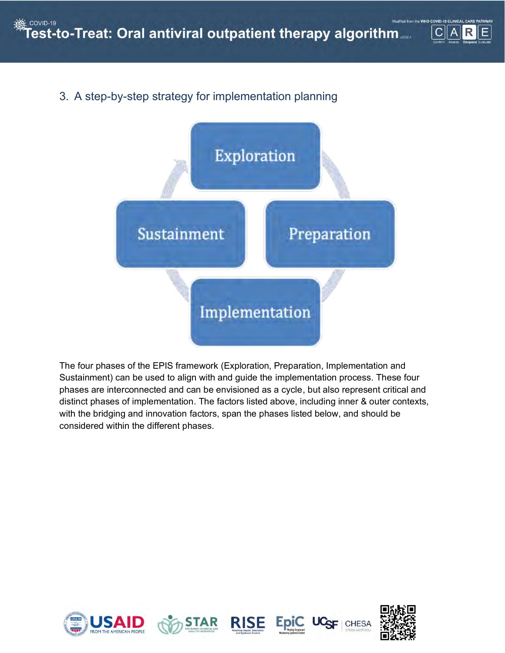## 3. A step-by-step strategy for implementation planning



The four phases of the EPIS framework (Exploration, Preparation, Implementation and Sustainment) can be used to align with and guide the implementation process. These four phases are interconnected and can be envisioned as a cycle, but also represent critical and distinct phases of implementation. The factors listed above, including inner & outer contexts, with the bridging and innovation factors, span the phases listed below, and should be considered within the different phases.









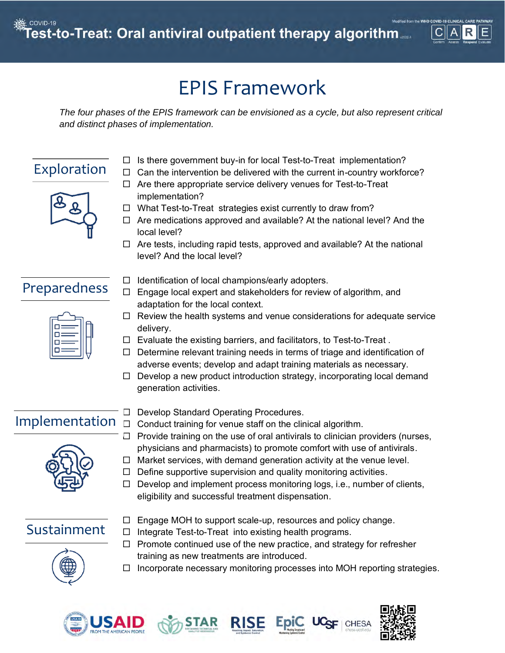

# EPIS Framework

*The four phases of the EPIS framework can be envisioned as a cycle, but also represent critical and distinct phases of implementation.*

# Exploration



- $\Box$  Is there government buy-in for local Test-to-Treat implementation?
- $\Box$  Can the intervention be delivered with the current in-country workforce?
- $\Box$  Are there appropriate service delivery venues for Test-to-Treat implementation?
- $\Box$  What Test-to-Treat strategies exist currently to draw from?
- $\Box$  Are medications approved and available? At the national level? And the local level?
- $\Box$  Are tests, including rapid tests, approved and available? At the national level? And the local level?

## Preparedness



- $\Box$  Identification of local champions/early adopters.
- $\Box$  Engage local expert and stakeholders for review of algorithm, and adaptation for the local context.
- $\Box$  Review the health systems and venue considerations for adequate service delivery.
- $\Box$  Evaluate the existing barriers, and facilitators, to Test-to-Treat.
- $\Box$  Determine relevant training needs in terms of triage and identification of adverse events; develop and adapt training materials as necessary.
- $\Box$  Develop a new product introduction strategy, incorporating local demand generation activities.

# Implementation



- D Develop Standard Operating Procedures.
- $\Box$  Conduct training for venue staff on the clinical algorithm.
- $\Box$  Provide training on the use of oral antivirals to clinician providers (nurses, physicians and pharmacists) to promote comfort with use of antivirals.
- $\Box$  Market services, with demand generation activity at the venue level.
- $\Box$  Define supportive supervision and quality monitoring activities.
- $\Box$  Develop and implement process monitoring logs, i.e., number of clients, eligibility and successful treatment dispensation.

## Sustainment

 $\Box$  Engage MOH to support scale-up, resources and policy change.



- $\Box$  Integrate Test-to-Treat into existing health programs.
- $\Box$  Promote continued use of the new practice, and strategy for refresher training as new treatments are introduced.
- $\Box$  Incorporate necessary monitoring processes into MOH reporting strategies.









CHES.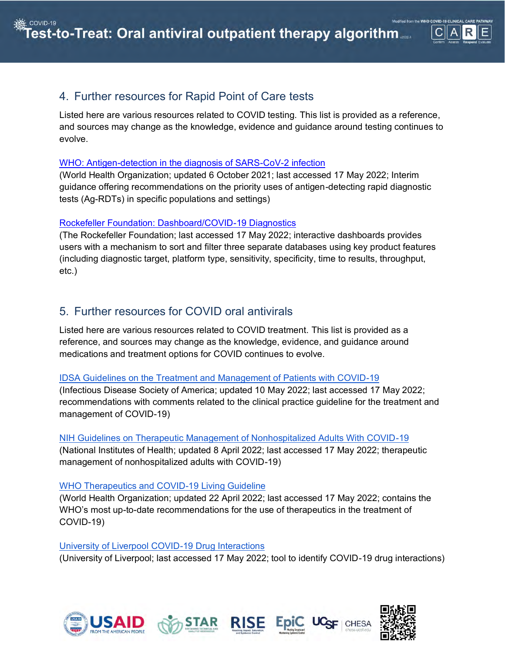

## 4. Further resources for Rapid Point of Care tests

Listed here are various resources related to COVID testing. This list is provided as a reference, and sources may change as the knowledge, evidence and guidance around testing continues to evolve.

#### [WHO: Antigen-detection in the diagnosis of SARS-CoV-2 infection](https://www.who.int/publications/i/item/antigen-detection-in-the-diagnosis-of-sars-cov-2infection-using-rapid-immunoassays)

(World Health Organization; updated 6 October 2021; last accessed 17 May 2022; Interim guidance offering recommendations on the priority uses of antigen-detecting rapid diagnostic tests (Ag-RDTs) in specific populations and settings)

#### [Rockefeller Foundation: Dashboard/COVID-19 Diagnostics](https://www.rockefellerfoundation.org/lmic-covid-19-diagnostic-resources/dashboards/)

(The Rockefeller Foundation; last accessed 17 May 2022; interactive dashboards provides users with a mechanism to sort and filter three separate databases using key product features (including diagnostic target, platform type, sensitivity, specificity, time to results, throughput, etc.)

### 5. Further resources for COVID oral antivirals

Listed here are various resources related to COVID treatment. This list is provided as a reference, and sources may change as the knowledge, evidence, and guidance around medications and treatment options for COVID continues to evolve.

#### [IDSA Guidelines on the Treatment and Management of Patients with COVID-19](https://www.idsociety.org/practice-guideline/covid-19-guideline-treatment-and-management/#toc-18)

(Infectious Disease Society of America; updated 10 May 2022; last accessed 17 May 2022; recommendations with comments related to the clinical practice guideline for the treatment and management of COVID-19)

#### [NIH Guidelines on Therapeutic Management of Nonhospitalized Adults With COVID-19](https://www.covid19treatmentguidelines.nih.gov/management/clinical-management/nonhospitalized-adults--therapeutic-management/)

(National Institutes of Health; updated 8 April 2022; last accessed 17 May 2022; therapeutic management of nonhospitalized adults with COVID-19)

#### [WHO Therapeutics and COVID-19 Living Guideline](https://www.who.int/publications-detail-redirect/WHO-2019-nCoV-therapeutics-2022.3)

(World Health Organization; updated 22 April 2022; last accessed 17 May 2022; contains the WHO's most up-to-date recommendations for the use of therapeutics in the treatment of COVID-19)

#### [University of Liverpool COVID-19 Drug Interactions](https://www.covid19-druginteractions.org/checker)

(University of Liverpool; last accessed 17 May 2022; tool to identify COVID-19 drug interactions)